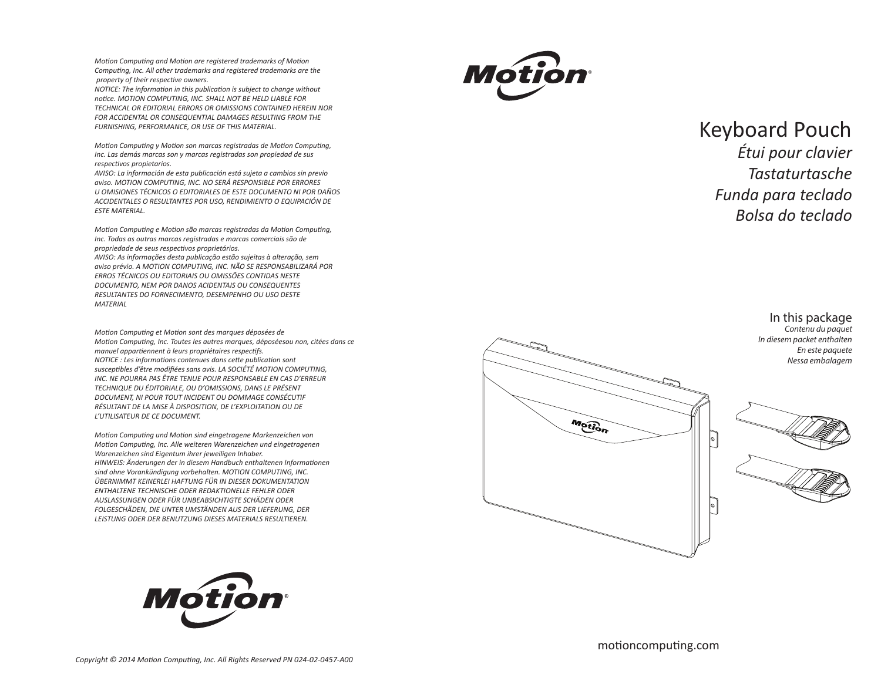*Motion Computing and Motion are registered trademarks of Motion Computing, Inc. All other trademarks and registered trademarks are the property of their respective owners.* 

*NOTICE: The information in this publication is subject to change without notice. MOTION COMPUTING, INC. SHALL NOT BE HELD LIABLE FOR TECHNICAL OR EDITORIAL ERRORS OR OMISSIONS CONTAINED HEREIN NOR FOR ACCIDENTAL OR CONSEQUENTIAL DAMAGES RESULTING FROM THE FURNISHING, PERFORMANCE, OR USE OF THIS MATERIAL.* 

*Motion Computing y Motion son marcas registradas de Motion Computing, Inc. Las demás marcas son y marcas registradas son propiedad de sus respectivos propietarios.* 

*AVISO: La información de esta publicación está sujeta a cambios sin previo aviso. MOTION COMPUTING, INC. NO SERÁ RESPONSIBLE POR ERRORES U OMISIONES TÉCNICOS O EDITORIALES DE ESTE DOCUMENTO NI POR DAÑOS ACCIDENTALES O RESULTANTES POR USO, RENDIMIENTO O EQUIPACIÓN DE ESTE MATERIAL.* 

*Motion Computing e Motion são marcas registradas da Motion Computing, Inc. Todas as outras marcas registradas e marcas comerciais são de propriedade de seus respectivos proprietários. AVISO: As informações desta publicação estão sujeitas à alteração, sem*

*aviso prévio. A MOTION COMPUTING, INC. NÃO SE RESPONSABILIZARÁ POR ERROS TÉCNICOS OU EDITORIAIS OU OMISSÕES CONTIDAS NESTE DOCUMENTO, NEM POR DANOS ACIDENTAIS OU CONSEQUENTES RESULTANTES DO FORNECIMENTO, DESEMPENHO OU USO DESTE MATERIAL* 

*Motion Computing et Motion sont des marques déposées de Motion Computing, Inc. Toutes les autres marques, déposéesou non, citées dans ce manuel appartiennent à leurs propriétaires respectifs. NOTICE : Les informations contenues dans cette publication sont susceptibles d'être modifiées sans avis. LA SOCIÉTÉ MOTION COMPUTING, INC. NE POURRA PAS ÊTRE TENUE POUR RESPONSABLE EN CAS D'ERREUR TECHNIQUE DU ÉDITORIALE, OU D'OMISSIONS, DANS LE PRÉSENT DOCUMENT, NI POUR TOUT INCIDENT OU DOMMAGE CONSÉCUTIF RÉSULTANT DE LA MISE À DISPOSITION, DE L'EXPLOITATION OU DE L'UTILISATEUR DE CE DOCUMENT.* 

*Motion Computing und Motion sind eingetragene Markenzeichen von Motion Computing, Inc. Alle weiteren Warenzeichen und eingetragenen Warenzeichen sind Eigentum ihrer jeweiligen Inhaber. HINWEIS: Änderungen der in diesem Handbuch enthaltenen Informationen sind ohne Vorankündigung vorbehalten. MOTION COMPUTING, INC. ÜBERNIMMT KEINERLEI HAFTUNG FÜR IN DIESER DOKUMENTATION ENTHALTENE TECHNISCHE ODER REDAKTIONELLE FEHLER ODER AUSLASSUNGEN ODER FÜR UNBEABSICHTIGTE SCHÄDEN ODER FOLGESCHÄDEN, DIE UNTER UMSTÄNDEN AUS DER LIEFERUNG, DER LEISTUNG ODER DER BENUTZUNG DIESES MATERIALS RESULTIEREN.* 





## Keyboard Pouch

*Étui pour clavier Tastaturtasche Funda para teclado Bolsa do teclado*